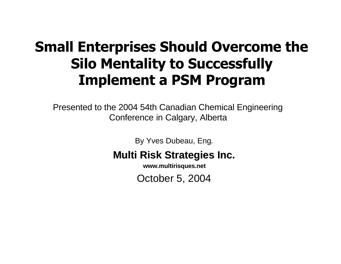#### **Small Enterprises Should Overcome the Silo Mentality to Successfully Implement a PSM Program**

Presented to the 2004 54th Canadian Chemical Engineering Conference in Calgary, Alberta

By Yves Dubeau, Eng.

#### **Multi Risk Strategies Inc.**

**www.multirisques.net**

October 5, 2004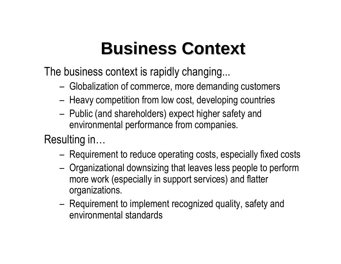## **Business Context**

The business context is rapidly changing...

- Globalization of commerce, more demanding customers
- Heavy competition from low cost, developing countries
- Public (and shareholders) expect higher safety and environmental performance from companies.

Resulting in…

- Requirement to reduce operating costs, especially fixed costs
- Organizational downsizing that leaves less people to perform more work (especially in support services) and flatter organizations.
- Requirement to implement recognized quality, safety and environmental standards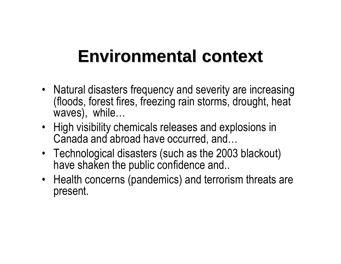#### **Environmental context**

- Natural disasters frequency and severity are increasing (floods, forest fires, freezing rain storms, drought, heat waves), while…
- High visibility chemicals releases and explosions in Canada and abroad have occurred, and…
- Technological disasters (such as the 2003 blackout) have shaken the public confidence and..
- Health concerns (pandemics) and terrorism threats are present.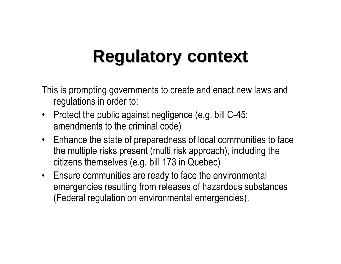#### **Regulatory context**

This is prompting governments to create and enact new laws and regulations in order to:

- Protect the public against negligence (e.g. bill C-45: amendments to the criminal code)
- Enhance the state of preparedness of local communities to face the multiple risks present (multi risk approach), including the citizens themselves (e.g. bill 173 in Quebec)
- Ensure communities are ready to face the environmental emergencies resulting from releases of hazardous substances (Federal regulation on environmental emergencies).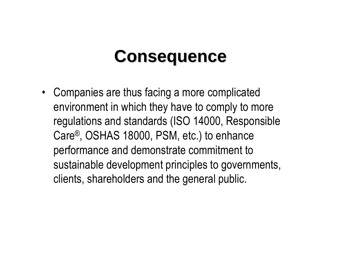#### **Consequence**

• Companies are thus facing a more complicated environment in which they have to comply to more regulations and standards (ISO 14000, Responsible Care®, OSHAS 18000, PSM, etc.) to enhance performance and demonstrate commitment to sustainable development principles to governments, clients, shareholders and the general public.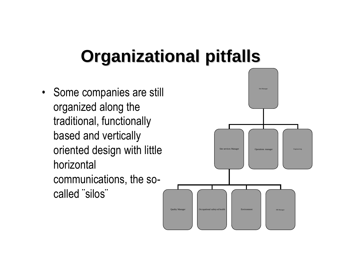## **Organizational pitfalls**

• Some companies are still organized along the traditional, functionally based and vertically oriented design with little horizontal communications, the socalled ¨silos¨

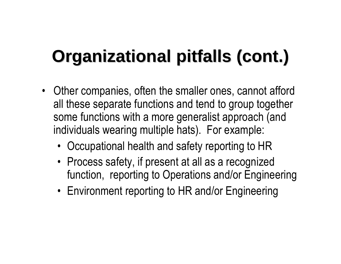# **Organizational pitfalls (cont.)**

- Other companies, often the smaller ones, cannot afford all these separate functions and tend to group together some functions with a more generalist approach (and individuals wearing multiple hats). For example:
	- Occupational health and safety reporting to HR
	- Process safety, if present at all as a recognized function, reporting to Operations and/or Engineering
	- Environment reporting to HR and/or Engineering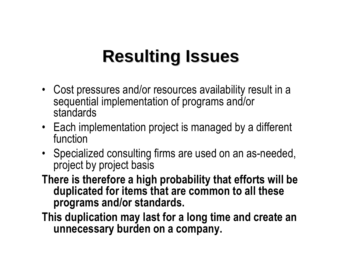## **Resulting Issues**

- Cost pressures and/or resources availability result in a sequential implementation of programs and/or standards
- Each implementation project is managed by a different function
- Specialized consulting firms are used on an as-needed, project by project basis
- **There is therefore a high probability that efforts will be duplicated for items that are common to all these programs and/or standards.**
- **This duplication may last for a long time and create an unnecessary burden on a company.**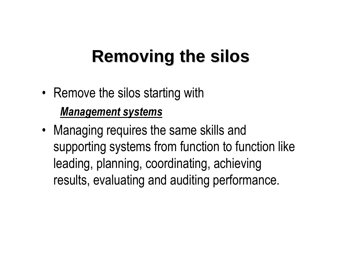## **Removing the silos**

- Remove the silos starting with *Management systems*
- Managing requires the same skills and supporting systems from function to function like leading, planning, coordinating, achieving results, evaluating and auditing performance.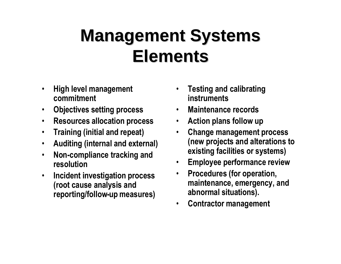#### **Management Systems Elements**

- **High level management commitment**
- **Objectives setting process**
- **Resources allocation process**
- **Training (initial and repeat)**
- **Auditing (internal and external)**
- **Non-compliance tracking and resolution**
- **Incident investigation process (root cause analysis and reporting/follow-up measures)**
- **Testing and calibrating instruments**
- **Maintenance records**
- **Action plans follow up**
- **Change management process (new projects and alterations to existing facilities or systems)**
- **Employee performance review**
- **Procedures (for operation, maintenance, emergency, and abnormal situations).**
- **Contractor management**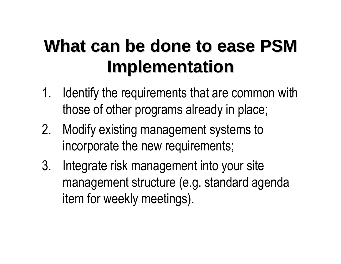## **What can be done to ease PSM Implementation**

- 1. Identify the requirements that are common with those of other programs already in place;
- 2. Modify existing management systems to incorporate the new requirements;
- 3. Integrate risk management into your site management structure (e.g. standard agenda item for weekly meetings).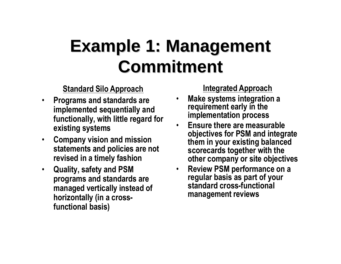#### **Example 1: Management Commitment**

**Standard Silo Approach**

- **Programs and standards are implemented sequentially and functionally, with little regard for existing systems**
- **Company vision and mission statements and policies are not revised in a timely fashion**
- **Quality, safety and PSM programs and standards are managed vertically instead of horizontally (in a crossfunctional basis)**

**Integrated Approach**

- **Make systems integration a requirement early in the implementation process**
- **Ensure there are measurable objectives for PSM and integrate them in your existing balanced scorecards together with the other company or site objectives**
- **Review PSM performance on a regular basis as part of your standard cross-functional management reviews**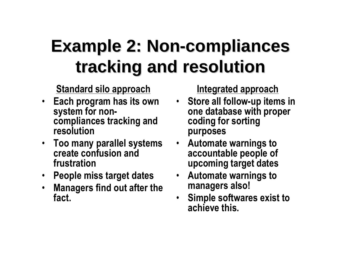## **Example 2: Non-compliances tracking and resolution**

**Standard silo approach**

- **Each program has its own system for noncompliances tracking and resolution**
- **Too many parallel systems create confusion and frustration**
- **People miss target dates**
- **Managers find out after the fact.**

**Integrated approach**

- **Store all follow-up items in one database with proper coding for sorting purposes**
- **Automate warnings to accountable people of upcoming target dates**
- **Automate warnings to managers also!**
- **Simple softwares exist to achieve this.**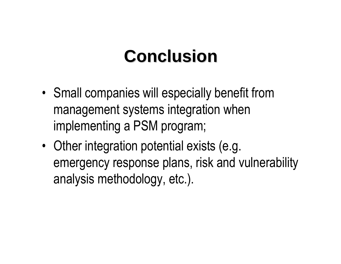#### **Conclusion**

- Small companies will especially benefit from management systems integration when implementing a PSM program;
- Other integration potential exists (e.g. emergency response plans, risk and vulnerability analysis methodology, etc.).